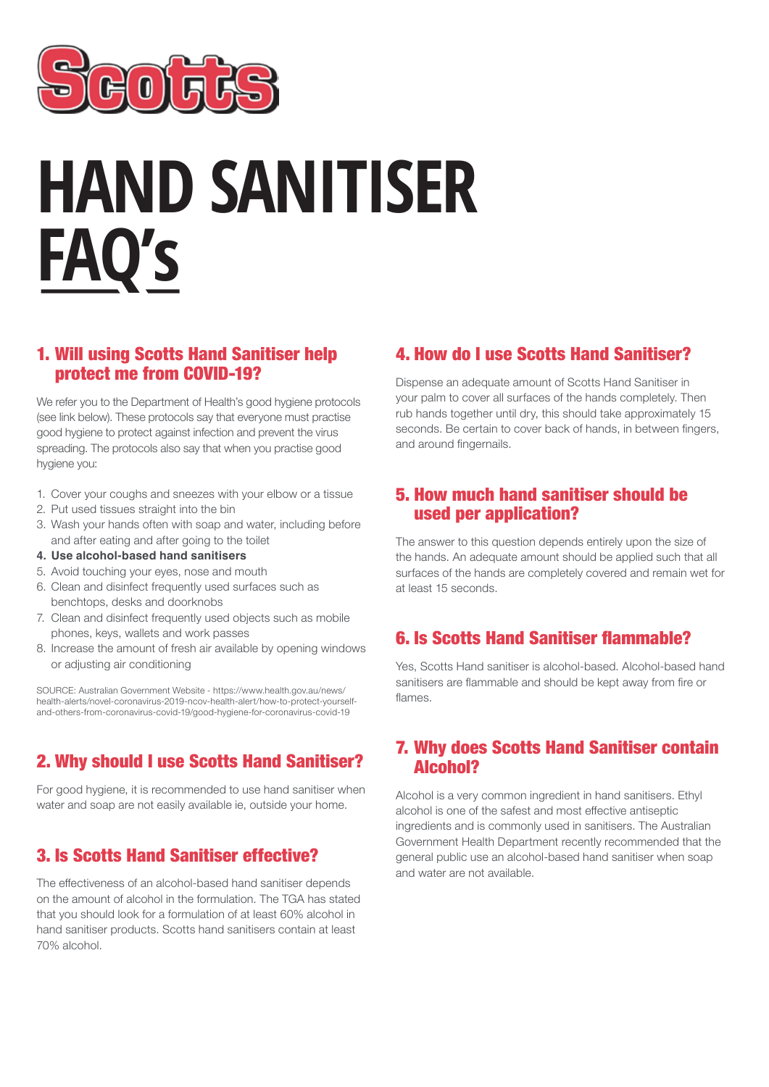

# **HAND SANITISER FAQ's**

#### 1. Will using Scotts Hand Sanitiser help protect me from COVID-19?

We refer you to the Department of Health's good hygiene protocols (see link below). These protocols say that everyone must practise good hygiene to protect against infection and prevent the virus spreading. The protocols also say that when you practise good hygiene you:

- 1. Cover your coughs and sneezes with your elbow or a tissue
- 2. Put used tissues straight into the bin
- 3. Wash your hands often with soap and water, including before and after eating and after going to the toilet
- **4. Use alcohol-based hand sanitisers**
- 5. Avoid touching your eyes, nose and mouth
- 6. Clean and disinfect frequently used surfaces such as benchtops, desks and doorknobs
- 7. Clean and disinfect frequently used objects such as mobile phones, keys, wallets and work passes
- 8. Increase the amount of fresh air available by opening windows or adjusting air conditioning

SOURCE: Australian Government Website - https://www.health.gov.au/news/ health-alerts/novel-coronavirus-2019-ncov-health-alert/how-to-protect-yourselfand-others-from-coronavirus-covid-19/good-hygiene-for-coronavirus-covid-19

## 2. Why should I use Scotts Hand Sanitiser?

For good hygiene, it is recommended to use hand sanitiser when water and soap are not easily available ie, outside your home.

## 3. Is Scotts Hand Sanitiser effective?

The effectiveness of an alcohol-based hand sanitiser depends on the amount of alcohol in the formulation. The TGA has stated that you should look for a formulation of at least 60% alcohol in hand sanitiser products. Scotts hand sanitisers contain at least 70% alcohol.

#### 4. How do I use Scotts Hand Sanitiser?

Dispense an adequate amount of Scotts Hand Sanitiser in your palm to cover all surfaces of the hands completely. Then rub hands together until dry, this should take approximately 15 seconds. Be certain to cover back of hands, in between fingers, and around fingernails.

#### 5. How much hand sanitiser should be used per application?

The answer to this question depends entirely upon the size of the hands. An adequate amount should be applied such that all surfaces of the hands are completely covered and remain wet for at least 15 seconds.

### 6. Is Scotts Hand Sanitiser flammable?

Yes, Scotts Hand sanitiser is alcohol-based. Alcohol-based hand sanitisers are flammable and should be kept away from fire or flames.

#### 7. Why does Scotts Hand Sanitiser contain Alcohol?

Alcohol is a very common ingredient in hand sanitisers. Ethyl alcohol is one of the safest and most effective antiseptic ingredients and is commonly used in sanitisers. The Australian Government Health Department recently recommended that the general public use an alcohol-based hand sanitiser when soap and water are not available.